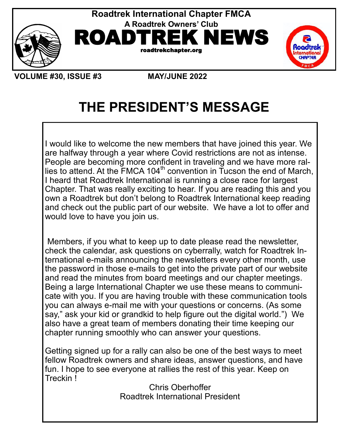





**VOLUME #30, ISSUE #3 MAY/JUNE 2022** 

# **THE PRESIDENT'S MESSAGE**

I would like to welcome the new members that have joined this year. We are halfway through a year where Covid restrictions are not as intense. People are becoming more confident in traveling and we have more rallies to attend. At the  $\overline{\text{FMCA}}$  104<sup>th</sup> convention in Tucson the end of March, I heard that Roadtrek International is running a close race for largest Chapter. That was really exciting to hear. If you are reading this and you own a Roadtrek but don't belong to Roadtrek International keep reading and check out the public part of our website. We have a lot to offer and would love to have you join us.

Members, if you what to keep up to date please read the newsletter, check the calendar, ask questions on cyberrally, watch for Roadtrek International e-mails announcing the newsletters every other month, use the password in those e-mails to get into the private part of our website and read the minutes from board meetings and our chapter meetings. Being a large International Chapter we use these means to communicate with you. If you are having trouble with these communication tools you can always e-mail me with your questions or concerns. (As some say," ask your kid or grandkid to help figure out the digital world.") We also have a great team of members donating their time keeping our chapter running smoothly who can answer your questions.

Getting signed up for a rally can also be one of the best ways to meet fellow Roadtrek owners and share ideas, answer questions, and have fun. I hope to see everyone at rallies the rest of this year. Keep on Treckin !

Chris Oberhoffer Roadtrek International President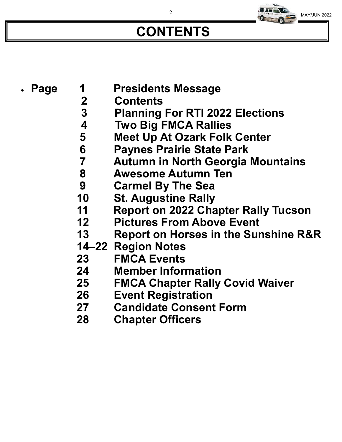# **CONTENTS**

MAY/JUN 2022

- - **Page 1 Presidents Message**
		- **2 Contents 3 Planning For RTI 2022 Elections**
		- **4 Two Big FMCA Rallies**
			- **5 Meet Up At Ozark Folk Center**
			- **6 Paynes Prairie State Park**
			- **7 Autumn in North Georgia Mountains**
			- **8 Awesome Autumn Ten**
		- **9 Carmel By The Sea**
		- **10 St. Augustine Rally**
		- **11 Report on 2022 Chapter Rally Tucson**
		- **12 Pictures From Above Event**
		- **13 Report on Horses in the Sunshine R&R**
		- **14–22 Region Notes**
		- **23 FMCA Events**
		- **24 Member Information**
		- **25 FMCA Chapter Rally Covid Waiver**
		- **26 Event Registration**
		- **27 Candidate Consent Form**
		- **28 Chapter Officers**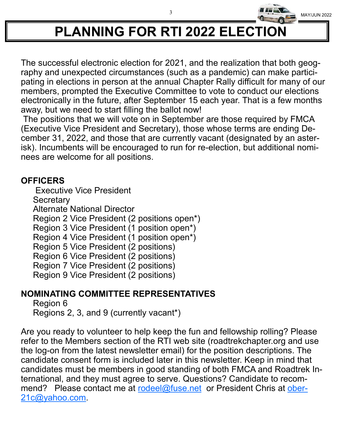

# **PLANNING FOR RTI 2022 ELECTION**

The successful electronic election for 2021, and the realization that both geography and unexpected circumstances (such as a pandemic) can make participating in elections in person at the annual Chapter Rally difficult for many of our members, prompted the Executive Committee to vote to conduct our elections electronically in the future, after September 15 each year. That is a few months away, but we need to start filling the ballot now!

The positions that we will vote on in September are those required by FMCA (Executive Vice President and Secretary), those whose terms are ending December 31, 2022, and those that are currently vacant (designated by an asterisk). Incumbents will be encouraged to run for re-election, but additional nominees are welcome for all positions.

### **OFFICERS**

 Executive Vice President **Secretary** Alternate National Director Region 2 Vice President (2 positions open\*) Region 3 Vice President (1 position open\*) Region 4 Vice President (1 position open\*) Region 5 Vice President (2 positions) Region 6 Vice President (2 positions) Region 7 Vice President (2 positions) Region 9 Vice President (2 positions)

### **NOMINATING COMMITTEE REPRESENTATIVES**

Region 6 Regions 2, 3, and 9 (currently vacant\*)

Are you ready to volunteer to help keep the fun and fellowship rolling? Please refer to the Members section of the RTI web site (roadtrekchapter.org and use the log-on from the latest newsletter email) for the position descriptions. The candidate consent form is included later in this newsletter. Keep in mind that candidates must be members in good standing of both FMCA and Roadtrek International, and they must agree to serve. Questions? Candidate to recommend? Please contact me at rodeel@fuse.net or President Chris at ober-21c@yahoo.com.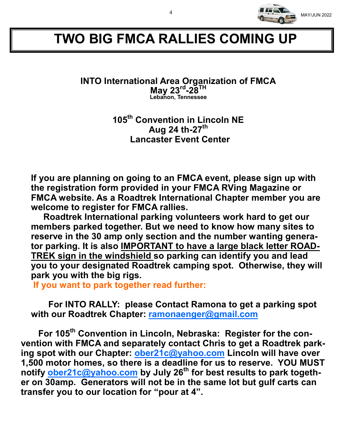

## **TWO BIG FMCA RALLIES COMING UP**

#### **INTO International Area Organization of FMCA May 23rd -28TH Lebanon, Tennessee**

**105th Convention in Lincoln NE Aug 24 th-27th Lancaster Event Center**

**If you are planning on going to an FMCA event, please sign up with the registration form provided in your FMCA RVing Magazine or FMCA website. As a Roadtrek International Chapter member you are welcome to register for FMCA rallies.** 

 **Roadtrek International parking volunteers work hard to get our members parked together. But we need to know how many sites to reserve in the 30 amp only section and the number wanting generator parking. It is also IMPORTANT to have a large black letter ROAD-TREK sign in the windshield so parking can identify you and lead you to your designated Roadtrek camping spot. Otherwise, they will park you with the big rigs.**

 **If you want to park together read further:**

 **For INTO RALLY: please Contact Ramona to get a parking spot with our Roadtrek Chapter: ramonaenger@gmail.com**

 **For 105th Convention in Lincoln, Nebraska: Register for the convention with FMCA and separately contact Chris to get a Roadtrek parking spot with our Chapter: ober21c@yahoo.com Lincoln will have over 1,500 motor homes, so there is a deadline for us to reserve. YOU MUST notify ober21c@yahoo.com by July 26th for best results to park together on 30amp. Generators will not be in the same lot but gulf carts can transfer you to our location for "pour at 4".**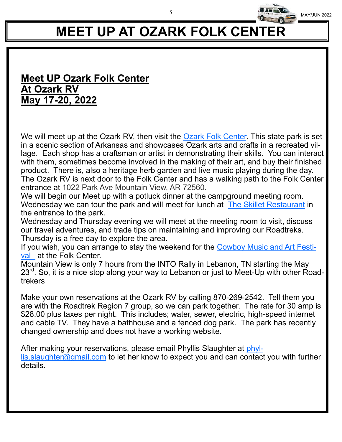# **MEET UP AT OZARK FOLK CENTER**

5

MAY/JUN 2022

### **Meet UP Ozark Folk Center At Ozark RV May 17-20, 2022**

We will meet up at the Ozark RV, then visit the Ozark Folk Center. This state park is set in a scenic section of Arkansas and showcases Ozark arts and crafts in a recreated village. Each shop has a craftsman or artist in demonstrating their skills. You can interact with them, sometimes become involved in the making of their art, and buy their finished product. There is, also a heritage herb garden and live music playing during the day. The Ozark RV is next door to the Folk Center and has a walking path to the Folk Center entrance at 1022 Park Ave Mountain View, AR 72560.

We will begin our Meet up with a potluck dinner at the campground meeting room. Wednesday we can tour the park and will meet for lunch at The Skillet Restaurant in the entrance to the park.

Wednesday and Thursday evening we will meet at the meeting room to visit, discuss our travel adventures, and trade tips on maintaining and improving our Roadtreks. Thursday is a free day to explore the area.

If you wish, you can arrange to stay the weekend for the Cowboy Music and Art Festival at the Folk Center.

Mountain View is only 7 hours from the INTO Rally in Lebanon, TN starting the May 23<sup>rd</sup>. So, it is a nice stop along your way to Lebanon or just to Meet-Up with other Roadtrekers

Make your own reservations at the Ozark RV by calling 870-269-2542. Tell them you are with the Roadtrek Region 7 group, so we can park together. The rate for 30 amp is \$28.00 plus taxes per night. This includes; water, sewer, electric, high-speed internet and cable TV. They have a bathhouse and a fenced dog park. The park has recently changed ownership and does not have a working website.

After making your reservations, please email Phyllis Slaughter at phyllis.slaughter@gmail.com to let her know to expect you and can contact you with further details.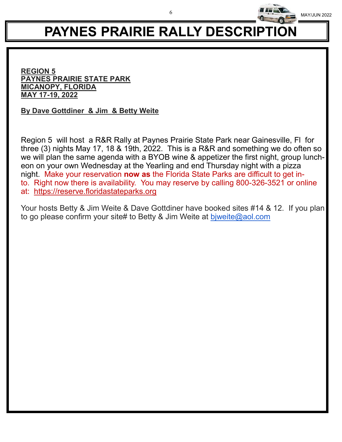

# **PAYNES PRAIRIE RALLY DESCRIPTION**

6

**REGION 5 PAYNES PRAIRIE STATE PARK MICANOPY, FLORIDA MAY 17-19, 2022**

**By Dave Gottdiner & Jim & Betty Weite**

Region 5 will host a R&R Rally at Paynes Prairie State Park near Gainesville, Fl for three (3) nights May 17, 18 & 19th, 2022. This is a R&R and something we do often so we will plan the same agenda with a BYOB wine & appetizer the first night, group luncheon on your own Wednesday at the Yearling and end Thursday night with a pizza night. Make your reservation **now as** the Florida State Parks are difficult to get into. Right now there is availability. You may reserve by calling 800-326-3521 or online at: https://reserve.floridastateparks.org

Your hosts Betty & Jim Weite & Dave Gottdiner have booked sites #14 & 12. If you plan to go please confirm your site# to Betty & Jim Weite at bjweite@aol.com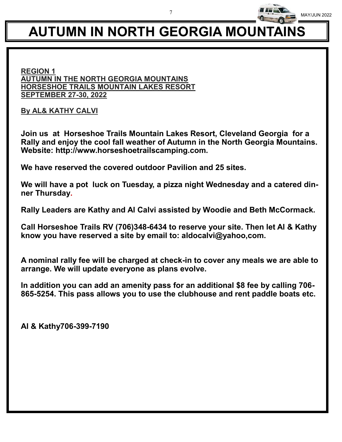# **AUTUMN IN NORTH GEORGIA MOUNTAINS**

#### **REGION 1 AUTUMN IN THE NORTH GEORGIA MOUNTAINS HORSESHOE TRAILS MOUNTAIN LAKES RESORT SEPTEMBER 27-30, 2022**

**By AL& KATHY CALVI**

**Join us at Horseshoe Trails Mountain Lakes Resort, Cleveland Georgia for a Rally and enjoy the cool fall weather of Autumn in the North Georgia Mountains. Website: http://www.horseshoetrailscamping.com.**

**We have reserved the covered outdoor Pavilion and 25 sites.**

**We will have a pot luck on Tuesday, a pizza night Wednesday and a catered dinner Thursday.**

**Rally Leaders are Kathy and Al Calvi assisted by Woodie and Beth McCormack.**

**Call Horseshoe Trails RV (706)348-6434 to reserve your site. Then let Al & Kathy know you have reserved a site by email to: aldocalvi@yahoo,com.**

**A nominal rally fee will be charged at check-in to cover any meals we are able to arrange. We will update everyone as plans evolve.**

**In addition you can add an amenity pass for an additional \$8 fee by calling 706- 865-5254. This pass allows you to use the clubhouse and rent paddle boats etc.**

**Al & Kathy706-399-7190**

7

MAY/JUN 2022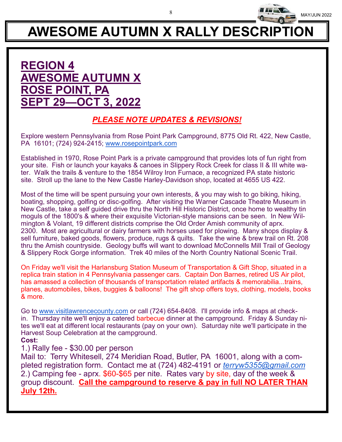

# **AWESOME AUTUMN X RALLY DESCRIPTION**

## **REGION 4 AWESOME AUTUMN X ROSE POINT, PA SEPT 29—OCT 3, 2022**

### *PLEASE NOTE UPDATES & REVISIONS!*

Explore western Pennsylvania from Rose Point Park Campground, 8775 Old Rt. 422, New Castle, PA 16101; (724) 924-2415; www.rosepointpark.com

Established in 1970, Rose Point Park is a private campground that provides lots of fun right from your site. Fish or launch your kayaks & canoes in Slippery Rock Creek for class II & III white water. Walk the trails & venture to the 1854 Wilroy Iron Furnace, a recognized PA state historic site. Stroll up the lane to the New Castle Harley-Davidson shop, located at 4655 US 422.

Most of the time will be spent pursuing your own interests, & you may wish to go biking, hiking, boating, shopping, golfing or disc-golfing. After visiting the Warner Cascade Theatre Museum in New Castle, take a self guided drive thru the North Hill Historic District, once home to wealthy tin moguls of the 1800's & where their exquisite Victorian-style mansions can be seen. In New Wilmington & Volant, 19 different districts comprise the Old Order Amish community of aprx. 2300. Most are agricultural or dairy farmers with horses used for plowing. Many shops display & sell furniture, baked goods, flowers, produce, rugs & quilts. Take the wine & brew trail on Rt. 208 thru the Amish countryside. Geology buffs will want to download McConnells Mill Trail of Geology & Slippery Rock Gorge information. Trek 40 miles of the North Country National Scenic Trail.

On Friday we'll visit the Harlansburg Station Museum of Transportation & Gift Shop, situated in a replica train station in 4 Pennsylvania passenger cars. Captain Don Barnes, retired US Air pilot, has amassed a collection of thousands of transportation related artifacts & memorabilia...trains, planes, automobiles, bikes, buggies & balloons! The gift shop offers toys, clothing, models, books & more.

Go to www.visitlawrencecounty.com or call (724) 654-8408. I'll provide info & maps at checkin. Thursday nite we'll enjoy a catered barbecue dinner at the campground. Friday & Sunday nites we'll eat at different local restaurants (pay on your own). Saturday nite we'll participate in the Harvest Soup Celebration at the campground.

#### **Cost:**

#### 1.) Rally fee - \$30.00 per person

Mail to: Terry Whitesell, 274 Meridian Road, Butler, PA 16001, along with a completed registration form. Contact me at (724) 482-4191 or *terryw5355@gmail.com* 2.) Camping fee - aprx. \$60-\$65 per nite. Rates vary by site, day of the week & group discount. **Call the campground to reserve & pay in full NO LATER THAN July 12th.**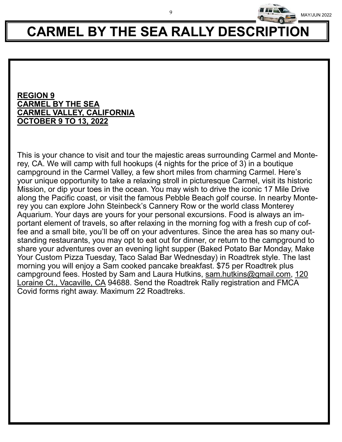# **CARMEL BY THE SEA RALLY DESCRIPTION**

9

#### **REGION 9 CARMEL BY THE SEA CARMEL VALLEY, CALIFORNIA OCTOBER 9 TO 13, 2022**

This is your chance to visit and tour the majestic areas surrounding Carmel and Monterey, CA. We will camp with full hookups (4 nights for the price of 3) in a boutique campground in the Carmel Valley, a few short miles from charming Carmel. Here's your unique opportunity to take a relaxing stroll in picturesque Carmel, visit its historic Mission, or dip your toes in the ocean. You may wish to drive the iconic 17 Mile Drive along the Pacific coast, or visit the famous Pebble Beach golf course. In nearby Monterey you can explore John Steinbeck's Cannery Row or the world class Monterey Aquarium. Your days are yours for your personal excursions. Food is always an important element of travels, so after relaxing in the morning fog with a fresh cup of coffee and a small bite, you'll be off on your adventures. Since the area has so many outstanding restaurants, you may opt to eat out for dinner, or return to the campground to share your adventures over an evening light supper (Baked Potato Bar Monday, Make Your Custom Pizza Tuesday, Taco Salad Bar Wednesday) in Roadtrek style. The last morning you will enjoy a Sam cooked pancake breakfast. \$75 per Roadtrek plus campground fees. Hosted by Sam and Laura Hutkins, sam.hutkins@gmail.com, 120 Loraine Ct., Vacaville, CA 94688. Send the Roadtrek Rally registration and FMCA Covid forms right away. Maximum 22 Roadtreks.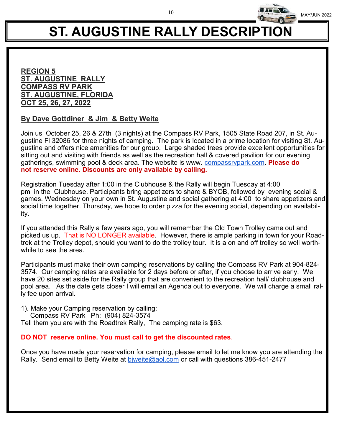

# **ST. AUGUSTINE RALLY DESCRIPTION**

#### **REGION 5 ST. AUGUSTINE RALLY COMPASS RV PARK ST. AUGUSTINE, FLORIDA OCT 25, 26, 27, 2022**

#### **By Dave Gottdiner & Jim & Betty Weite**

Join us October 25, 26 & 27th (3 nights) at the Compass RV Park, 1505 State Road 207, in St. Augustine Fl 32086 for three nights of camping. The park is located in a prime location for visiting St. Augustine and offers nice amenities for our group. Large shaded trees provide excellent opportunities for sitting out and visiting with friends as well as the recreation hall & covered pavilion for our evening gatherings, swimming pool & deck area. The website is www. compassrvpark.com. **Please do not reserve online. Discounts are only available by calling.**

Registration Tuesday after 1:00 in the Clubhouse & the Rally will begin Tuesday at 4:00 pm in the Clubhouse. Participants bring appetizers to share & BYOB, followed by evening social & games. Wednesday on your own in St. Augustine and social gathering at 4:00 to share appetizers and social time together. Thursday, we hope to order pizza for the evening social, depending on availability.

If you attended this Rally a few years ago, you will remember the Old Town Trolley came out and picked us up. That is NO LONGER available. However, there is ample parking in town for your Roadtrek at the Trolley depot, should you want to do the trolley tour. It is a on and off trolley so well worthwhile to see the area.

Participants must make their own camping reservations by calling the Compass RV Park at 904-824- 3574. Our camping rates are available for 2 days before or after, if you choose to arrive early. We have 20 sites set aside for the Rally group that are convenient to the recreation hall/ clubhouse and pool area. As the date gets closer I will email an Agenda out to everyone. We will charge a small rally fee upon arrival.

- 1). Make your Camping reservation by calling:
	- Compass RV Park Ph: (904) 824-3574

Tell them you are with the Roadtrek Rally, The camping rate is \$63.

#### **DO NOT reserve online. You must call to get the discounted rates**.

Once you have made your reservation for camping, please email to let me know you are attending the Rally. Send email to Betty Weite at biweite@aol.com or call with questions 386-451-2477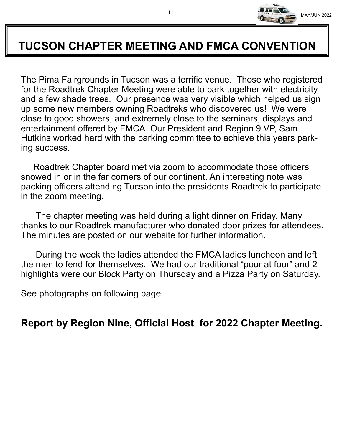

## **TUCSON CHAPTER MEETING AND FMCA CONVENTION**

The Pima Fairgrounds in Tucson was a terrific venue. Those who registered for the Roadtrek Chapter Meeting were able to park together with electricity and a few shade trees. Our presence was very visible which helped us sign up some new members owning Roadtreks who discovered us! We were close to good showers, and extremely close to the seminars, displays and entertainment offered by FMCA. Our President and Region 9 VP, Sam Hutkins worked hard with the parking committee to achieve this years parking success.

 Roadtrek Chapter board met via zoom to accommodate those officers snowed in or in the far corners of our continent. An interesting note was packing officers attending Tucson into the presidents Roadtrek to participate in the zoom meeting.

 The chapter meeting was held during a light dinner on Friday. Many thanks to our Roadtrek manufacturer who donated door prizes for attendees. The minutes are posted on our website for further information.

 During the week the ladies attended the FMCA ladies luncheon and left the men to fend for themselves. We had our traditional "pour at four" and 2 highlights were our Block Party on Thursday and a Pizza Party on Saturday.

See photographs on following page.

**Report by Region Nine, Official Host for 2022 Chapter Meeting.**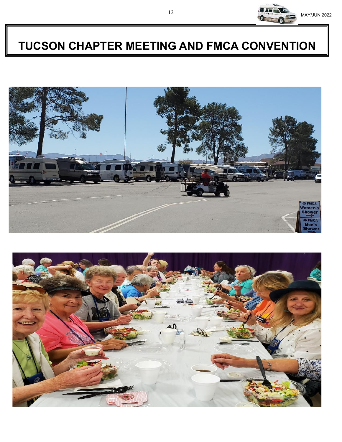

## **TUCSON CHAPTER MEETING AND FMCA CONVENTION**



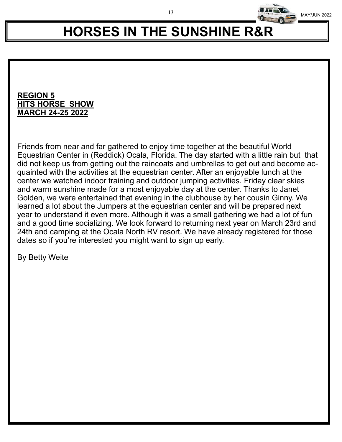

# **HORSES IN THE SUNSHINE R&R**

#### **REGION 5 HITS HORSE SHOW MARCH 24-25 2022**

Friends from near and far gathered to enjoy time together at the beautiful World Equestrian Center in (Reddick) Ocala, Florida. The day started with a little rain but that did not keep us from getting out the raincoats and umbrellas to get out and become acquainted with the activities at the equestrian center. After an enjoyable lunch at the center we watched indoor training and outdoor jumping activities. Friday clear skies and warm sunshine made for a most enjoyable day at the center. Thanks to Janet Golden, we were entertained that evening in the clubhouse by her cousin Ginny. We learned a lot about the Jumpers at the equestrian center and will be prepared next year to understand it even more. Although it was a small gathering we had a lot of fun and a good time socializing. We look forward to returning next year on March 23rd and 24th and camping at the Ocala North RV resort. We have already registered for those dates so if you're interested you might want to sign up early.

By Betty Weite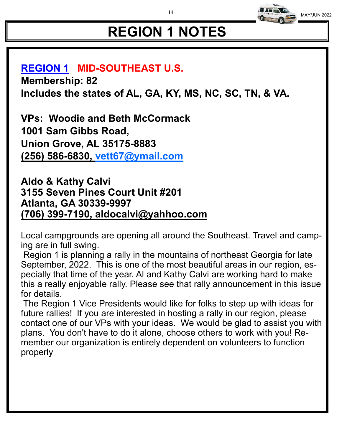# **REGION 1 NOTES**

### **REGION 1 MID-SOUTHEAST U.S.**

**Membership: 82 Includes the states of AL, GA, KY, MS, NC, SC, TN, & VA.**

**VPs: Woodie and Beth McCormack 1001 Sam Gibbs Road, Union Grove, AL 35175-8883 (256) 586-6830, vett67@ymail.com**

**Aldo & Kathy Calvi 3155 Seven Pines Court Unit #201 Atlanta, GA 30339-9997 (706) 399-7190, aldocalvi@yahhoo.com**

Local campgrounds are opening all around the Southeast. Travel and camping are in full swing.

Region 1 is planning a rally in the mountains of northeast Georgia for late September, 2022. This is one of the most beautiful areas in our region, especially that time of the year. Al and Kathy Calvi are working hard to make this a really enjoyable rally. Please see that rally announcement in this issue for details.

The Region 1 Vice Presidents would like for folks to step up with ideas for future rallies! If you are interested in hosting a rally in our region, please contact one of our VPs with your ideas. We would be glad to assist you with plans. You don't have to do it alone, choose others to work with you! Remember our organization is entirely dependent on volunteers to function properly

14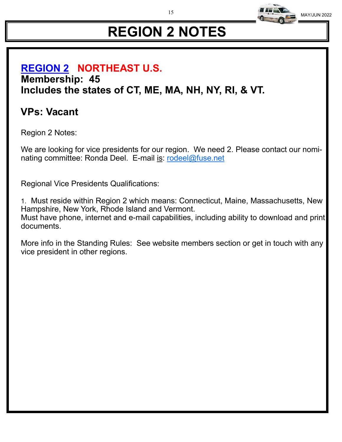

# **REGION 2 NOTES**

## **REGION 2 NORTHEAST U.S. Membership: 45 Includes the states of CT, ME, MA, NH, NY, RI, & VT.**

## **VPs: Vacant**

Region 2 Notes:

We are looking for vice presidents for our region. We need 2. Please contact our nominating committee: Ronda Deel. E-mail is: rodeel@fuse.net

Regional Vice Presidents Qualifications:

1. Must reside within Region 2 which means: Connecticut, Maine, Massachusetts, New Hampshire, New York, Rhode Island and Vermont. Must have phone, internet and e-mail capabilities, including ability to download and print documents.

More info in the Standing Rules: See website members section or get in touch with any vice president in other regions.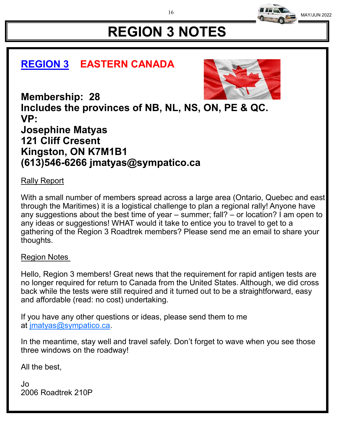

# **REGION 3 NOTES**

## **REGION 3 EASTERN CANADA**



**Membership: 28 Includes the provinces of NB, NL, NS, ON, PE & QC. VP: Josephine Matyas 121 Cliff Cresent Kingston, ON K7M1B1 (613)546-6266 jmatyas@sympatico.ca**

### Rally Report

With a small number of members spread across a large area (Ontario, Quebec and east through the Maritimes) it is a logistical challenge to plan a regional rally! Anyone have any suggestions about the best time of year – summer; fall? – or location? I am open to any ideas or suggestions! WHAT would it take to entice you to travel to get to a gathering of the Region 3 Roadtrek members? Please send me an email to share your thoughts.

#### Region Notes

Hello, Region 3 members! Great news that the requirement for rapid antigen tests are no longer required for return to Canada from the United States. Although, we did cross back while the tests were still required and it turned out to be a straightforward, easy and affordable (read: no cost) undertaking.

If you have any other questions or ideas, please send them to me at jmatyas@sympatico.ca.

In the meantime, stay well and travel safely. Don't forget to wave when you see those three windows on the roadway!

All the best,

Jo 2006 Roadtrek 210P 16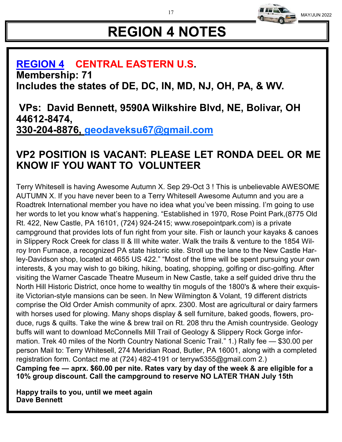# **REGION 4 NOTES**

### **REGION 4 CENTRAL EASTERN U.S. Membership: 71 Includes the states of DE, DC, IN, MD, NJ, OH, PA, & WV.**

**VPs: David Bennett, 9590A Wilkshire Blvd, NE, Bolivar, OH 44612-8474, 330-204-8876, geodaveksu67@gmail.com**

## **VP2 POSITION IS VACANT: PLEASE LET RONDA DEEL OR ME KNOW IF YOU WANT TO VOLUNTEER**

Terry Whitesell is having Awesome Autumn X. Sep 29-Oct 3 ! This is unbelievable AWESOME AUTUMN X. If you have never been to a Terry Whitesell Awesome Autumn and you are a Roadtrek International member you have no idea what you've been missing. I'm going to use her words to let you know what's happening. "Established in 1970, Rose Point Park,(8775 Old Rt. 422, New Castle, PA 16101, (724) 924-2415; www.rosepointpark.com) is a private campground that provides lots of fun right from your site. Fish or launch your kayaks & canoes in Slippery Rock Creek for class II & III white water. Walk the trails & venture to the 1854 Wilroy Iron Furnace, a recognized PA state historic site. Stroll up the lane to the New Castle Harley-Davidson shop, located at 4655 US 422." "Most of the time will be spent pursuing your own interests, & you may wish to go biking, hiking, boating, shopping, golfing or disc-golfing. After visiting the Warner Cascade Theatre Museum in New Castle, take a self guided drive thru the North Hill Historic District, once home to wealthy tin moguls of the 1800's & where their exquisite Victorian-style mansions can be seen. In New Wilmington & Volant, 19 different districts comprise the Old Order Amish community of aprx. 2300. Most are agricultural or dairy farmers with horses used for plowing. Many shops display & sell furniture, baked goods, flowers, produce, rugs & quilts. Take the wine & brew trail on Rt. 208 thru the Amish countryside. Geology buffs will want to download McConnells Mill Trail of Geology & Slippery Rock Gorge information. Trek 40 miles of the North Country National Scenic Trail." 1.) Rally fee — \$30.00 per person Mail to: Terry Whitesell, 274 Meridian Road, Butler, PA 16001, along with a completed registration form. Contact me at (724) 482-4191 or terryw5355@gmail.com 2.) **Camping fee — aprx. \$60.00 per nite. Rates vary by day of the week & are eligible for a 10% group discount. Call the campground to reserve NO LATER THAN July 15th** 

**Happy trails to you, until we meet again Dave Bennett**

17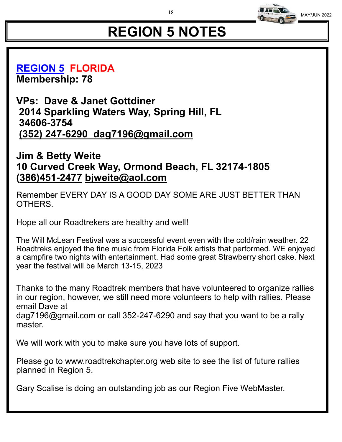

# **REGION 5 NOTES**

**REGION 5 FLORIDA Membership: 78**

**VPs: Dave & Janet Gottdiner 2014 Sparkling Waters Way, Spring Hill, FL 34606-3754 (352) 247-6290 dag7196@gmail.com** 

### **Jim & Betty Weite 10 Curved Creek Way, Ormond Beach, FL 32174-1805 (386)451-2477 bjweite@aol.com**

Remember EVERY DAY IS A GOOD DAY SOME ARE JUST BETTER THAN OTHERS.

Hope all our Roadtrekers are healthy and well!

The Will McLean Festival was a successful event even with the cold/rain weather. 22 Roadtreks enjoyed the fine music from Florida Folk artists that performed. WE enjoyed a campfire two nights with entertainment. Had some great Strawberry short cake. Next year the festival will be March 13-15, 2023

Thanks to the many Roadtrek members that have volunteered to organize rallies in our region, however, we still need more volunteers to help with rallies. Please email Dave at

dag7196@gmail.com or call 352-247-6290 and say that you want to be a rally master.

We will work with you to make sure you have lots of support.

Please go to www.roadtrekchapter.org web site to see the list of future rallies planned in Region 5.

Gary Scalise is doing an outstanding job as our Region Five WebMaster.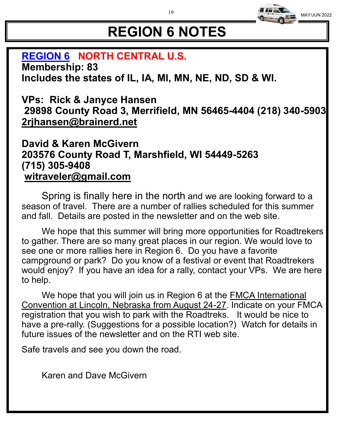

# **REGION 6 NOTES**

### **REGION 6 NORTH CENTRAL U.S.**

**Membership: 83 Includes the states of IL, IA, MI, MN, NE, ND, SD & WI.**

### **VPs: Rick & Janyce Hansen 29898 County Road 3, Merrifield, MN 56465-4404 (218) 340-5903 2rjhansen@brainerd.net**

### **David & Karen McGivern 203576 County Road T, Marshfield, WI 54449-5263 (715) 305-9408 witraveler@gmail.com**

Spring is finally here in the north and we are looking forward to a season of travel. There are a number of rallies scheduled for this summer and fall. Details are posted in the newsletter and on the web site.

We hope that this summer will bring more opportunities for Roadtrekers to gather. There are so many great places in our region. We would love to see one or more rallies here in Region 6. Do you have a favorite campground or park? Do you know of a festival or event that Roadtrekers would enjoy? If you have an idea for a rally, contact your VPs. We are here to help.

We hope that you will join us in Region 6 at the FMCA International Convention at Lincoln, Nebraska from August 24-27. Indicate on your FMCA registration that you wish to park with the Roadtreks. It would be nice to have a pre-rally. (Suggestions for a possible location?) Watch for details in future issues of the newsletter and on the RTI web site.

Safe travels and see you down the road.

Karen and Dave McGivern

19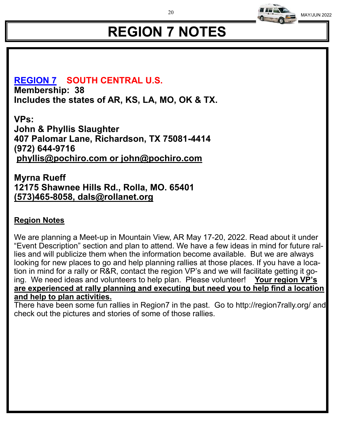

# **REGION 7 NOTES**

### **REGION 7 SOUTH CENTRAL U.S.**

**Membership: 38 Includes the states of AR, KS, LA, MO, OK & TX.** 

**VPs: John & Phyllis Slaughter 407 Palomar Lane, Richardson, TX 75081-4414 (972) 644-9716 phyllis@pochiro.com or john@pochiro.com** 

### **Myrna Rueff 12175 Shawnee Hills Rd., Rolla, MO. 65401 (573)465-8058, dals@rollanet.org**

### **Region Notes**

We are planning a Meet-up in Mountain View, AR May 17-20, 2022. Read about it under "Event Description" section and plan to attend. We have a few ideas in mind for future rallies and will publicize them when the information become available. But we are always looking for new places to go and help planning rallies at those places. If you have a location in mind for a rally or R&R, contact the region VP's and we will facilitate getting it going. We need ideas and volunteers to help plan. Please volunteer! **Your region VP's are experienced at rally planning and executing but need you to help find a location and help to plan activities.**

There have been some fun rallies in Region7 in the past. Go to http://region7rally.org/ and check out the pictures and stories of some of those rallies.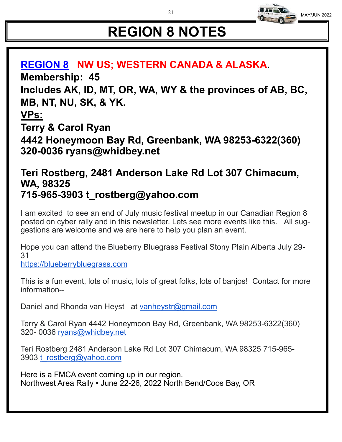# **REGION 8 NOTES**

## **REGION 8 NW US; WESTERN CANADA & ALASKA. Membership: 45 Includes AK, ID, MT, OR, WA, WY & the provinces of AB, BC, MB, NT, NU, SK, & YK.**

**VPs:**

**Terry & Carol Ryan**

**4442 Honeymoon Bay Rd, Greenbank, WA 98253-6322(360) 320-0036 ryans@whidbey.net**

### **Teri Rostberg, 2481 Anderson Lake Rd Lot 307 Chimacum, WA, 98325 715-965-3903 t\_rostberg@yahoo.com**

I am excited to see an end of July music festival meetup in our Canadian Region 8 posted on cyber rally and in this newsletter. Lets see more events like this. All suggestions are welcome and we are here to help you plan an event.

Hope you can attend the Blueberry Bluegrass Festival Stony Plain Alberta July 29- 31

https://blueberrybluegrass.com

This is a fun event, lots of music, lots of great folks, lots of banjos! Contact for more information--

Daniel and Rhonda van Heyst at vanheystr@gmail.com

Terry & Carol Ryan 4442 Honeymoon Bay Rd, Greenbank, WA 98253-6322(360) 320- 0036 ryans@whidbey.net

Teri Rostberg 2481 Anderson Lake Rd Lot 307 Chimacum, WA 98325 715-965- 3903 t\_rostberg@yahoo.com

Here is a FMCA event coming up in our region. Northwest Area Rally • June 22-26, 2022 North Bend/Coos Bay, OR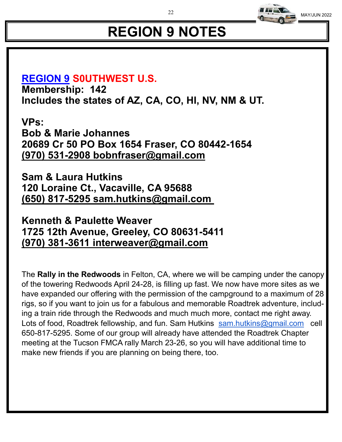

# **REGION 9 NOTES**

## **REGION 9 S0UTHWEST U.S.**

**Membership: 142 Includes the states of AZ, CA, CO, HI, NV, NM & UT.** 

**VPs: Bob & Marie Johannes 20689 Cr 50 PO Box 1654 Fraser, CO 80442-1654 (970) 531-2908 bobnfraser@gmail.com**

**Sam & Laura Hutkins 120 Loraine Ct., Vacaville, CA 95688 (650) 817-5295 sam.hutkins@gmail.com**

**Kenneth & Paulette Weaver 1725 12th Avenue, Greeley, CO 80631-5411 (970) 381-3611 interweaver@gmail.com** 

The **Rally in the Redwoods** in Felton, CA, where we will be camping under the canopy of the towering Redwoods April 24-28, is filling up fast. We now have more sites as we have expanded our offering with the permission of the campground to a maximum of 28 rigs, so if you want to join us for a fabulous and memorable Roadtrek adventure, including a train ride through the Redwoods and much much more, contact me right away. Lots of food, Roadtrek fellowship, and fun. Sam Hutkins sam.hutkins@gmail.com cell 650-817-5295. Some of our group will already have attended the Roadtrek Chapter meeting at the Tucson FMCA rally March 23-26, so you will have additional time to make new friends if you are planning on being there, too.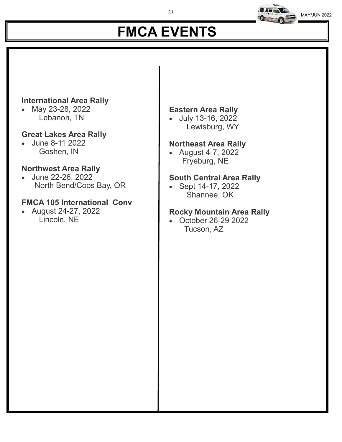# **FMCA EVENTS**

### **International Area Rally**

• May 23-28, 2022 Lebanon, TN

### **Great Lakes Area Rally**

• June 8-11 2022 Goshen, IN

### **Northwest Area Rally**

• June 22-26, 2022 North Bend/Coos Bay, OR

### **FMCA 105 International Conv**

• August 24-27, 2022 Lincoln, NE

### **Eastern Area Rally**

• July 13-16, 2022 Lewisburg, WY

### **Northeast Area Rally**

• August 4-7, 2022 Fryeburg, NE

### **South Central Area Rally**

• Sept 14-17, 2022 Shannee, OK

### **Rocky Mountain Area Rally**

• October 26-29 2022 Tucson, AZ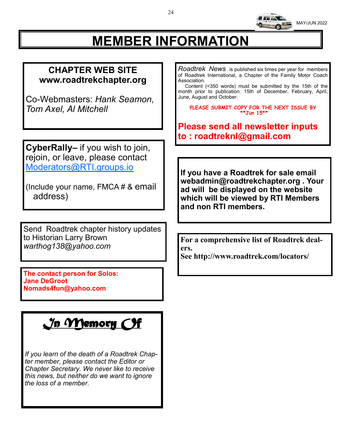

# **MEMBER INFORMATION**

### **CHAPTER WEB SITE www.roadtrekchapter.org**

Co-Webmasters: *Hank Seamon, Tom Axel, Al Mitchell*

**CyberRally–** if you wish to join, rejoin, or leave, please contact Moderators@RTI.groups.io

(Include your name, FMCA # & email address)

Send Roadtrek chapter history updates to Historian Larry Brown *warthog138@yahoo.com*

**The contact person for Solos: Jane DeGroot Nomads4fun@yahoo.com**

## *In Memory Of*

*If you learn of the death of a Roadtrek Chapter member, please contact the Editor or Chapter Secretary. We never like to receive this news, but neither do we want to ignore the loss of a member.*

*Roadtrek News* is published six times per year for members of Roadtrek International, a Chapter of the Family Motor Coach Association.

 Content (<350 words) must be submitted by the 15th of the month prior to publication: 15th of December, February, April, June, August and October.

**PLEASE SUBMIT COPY FOR THE NEXT ISSUE BY \*\*Jun 15\*\***

**Please send all newsletter inputs to : roadtreknl@gmail.com**

**If you have a Roadtrek for sale email webadmin@roadtrekchapter.org . Your ad will be displayed on the website which will be viewed by RTI Members and non RTI members.**

**For a comprehensive list of Roadtrek dealers.**

**See http://www.roadtrek.com/locators/**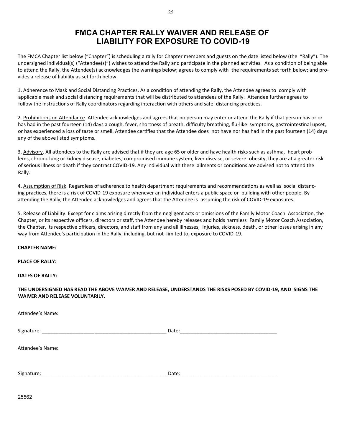#### **FMCA CHAPTER RALLY WAIVER AND RELEASE OF LIABILITY FOR EXPOSURE TO COVID-19**

The FMCA Chapter list below ("Chapter") is scheduling a rally for Chapter members and guests on the date listed below (the "Rally"). The undersigned individual(s) ("Attendee(s)") wishes to attend the Rally and participate in the planned activities. As a condition of being able to attend the Rally, the Attendee(s) acknowledges the warnings below; agrees to comply with the requirements set forth below; and provides a release of liability as set forth below.

1. Adherence to Mask and Social Distancing Practices. As a condition of attending the Rally, the Attendee agrees to comply with applicable mask and social distancing requirements that will be distributed to attendees of the Rally. Attendee further agrees to follow the instructions of Rally coordinators regarding interaction with others and safe distancing practices.

2. Prohibitions on Attendance. Attendee acknowledges and agrees that no person may enter or attend the Rally if that person has or or has had in the past fourteen (14) days a cough, fever, shortness of breath, difficulty breathing, flu-like symptoms, gastrointestinal upset, or has experienced a loss of taste or smell. Attendee certifies that the Attendee does not have nor has had in the past fourteen (14) days any of the above listed symptoms.

3. Advisory. All attendees to the Rally are advised that if they are age 65 or older and have health risks such as asthma, heart problems, chronic lung or kidney disease, diabetes, compromised immune system, liver disease, or severe obesity, they are at a greater risk of serious illness or death if they contract COVID-19. Any individual with these ailments or conditions are advised not to attend the Rally.

4. Assumption of Risk. Regardless of adherence to health department requirements and recommendations as well as social distancing practices, there is a risk of COVID-19 exposure whenever an individual enters a public space or building with other people. By attending the Rally, the Attendee acknowledges and agrees that the Attendee is assuming the risk of COVID-19 exposures.

5. Release of Liability. Except for claims arising directly from the negligent acts or omissions of the Family Motor Coach Association, the Chapter, or its respective officers, directors or staff, the Attendee hereby releases and holds harmless Family Motor Coach Association, the Chapter, its respective officers, directors, and staff from any and all illnesses, injuries, sickness, death, or other losses arising in any way from Attendee's participation in the Rally, including, but not limited to, exposure to COVID-19.

**CHAPTER NAME:**

**PLACE OF RALLY:**

**DATES OF RALLY:**

#### **THE UNDERSIGNED HAS READ THE ABOVE WAIVER AND RELEASE, UNDERSTANDS THE RISKS POSED BY COVID-19, AND SIGNS THE WAIVER AND RELEASE VOLUNTARILY.**

Attendee's Name:

 $Signature: ___________$ Attendee's Name: Signature: \_\_\_\_\_\_\_\_\_\_\_\_\_\_\_\_\_\_\_\_\_\_\_\_\_\_\_\_\_\_\_\_\_\_\_\_\_\_\_\_\_\_\_\_\_ Date:\_\_\_\_\_\_\_\_\_\_\_\_\_\_\_\_\_\_\_\_\_\_\_\_\_\_\_\_\_\_\_\_\_\_\_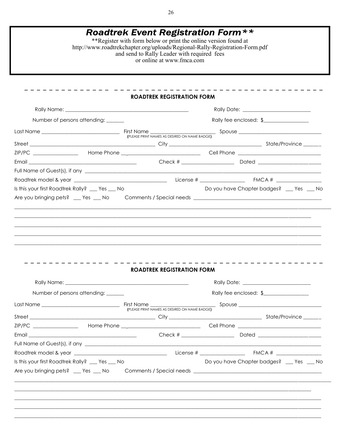| <b>Roadtrek Event Registration Form **</b><br>**Register with form below or print the online version found at<br>http://www.roadtrekchapter.org/uploads/Regional-Rally-Registration-Form.pdf<br>and send to Rally Leader with required fees<br>or online at www.fmca.com |  |                                   |                                          |  |  |
|--------------------------------------------------------------------------------------------------------------------------------------------------------------------------------------------------------------------------------------------------------------------------|--|-----------------------------------|------------------------------------------|--|--|
|                                                                                                                                                                                                                                                                          |  | ____________________              |                                          |  |  |
|                                                                                                                                                                                                                                                                          |  | <b>ROADTREK REGISTRATION FORM</b> |                                          |  |  |
|                                                                                                                                                                                                                                                                          |  |                                   |                                          |  |  |
| Number of persons attending: ______                                                                                                                                                                                                                                      |  | Rally fee enclosed: \$            |                                          |  |  |
|                                                                                                                                                                                                                                                                          |  |                                   |                                          |  |  |
|                                                                                                                                                                                                                                                                          |  |                                   |                                          |  |  |
|                                                                                                                                                                                                                                                                          |  |                                   |                                          |  |  |
|                                                                                                                                                                                                                                                                          |  |                                   |                                          |  |  |
|                                                                                                                                                                                                                                                                          |  |                                   |                                          |  |  |
| Is this your first Roadtrek Rally? __ Yes __ No                                                                                                                                                                                                                          |  |                                   | Do you have Chapter badges? __ Yes __ No |  |  |
|                                                                                                                                                                                                                                                                          |  |                                   |                                          |  |  |
|                                                                                                                                                                                                                                                                          |  |                                   |                                          |  |  |
|                                                                                                                                                                                                                                                                          |  | <b>ROADTREK REGISTRATION FORM</b> |                                          |  |  |
|                                                                                                                                                                                                                                                                          |  |                                   |                                          |  |  |
| Number of persons attending: ______                                                                                                                                                                                                                                      |  |                                   | Rally fee enclosed: \$                   |  |  |
|                                                                                                                                                                                                                                                                          |  |                                   |                                          |  |  |
|                                                                                                                                                                                                                                                                          |  |                                   |                                          |  |  |
|                                                                                                                                                                                                                                                                          |  |                                   |                                          |  |  |
|                                                                                                                                                                                                                                                                          |  |                                   |                                          |  |  |
|                                                                                                                                                                                                                                                                          |  |                                   |                                          |  |  |
|                                                                                                                                                                                                                                                                          |  |                                   |                                          |  |  |
|                                                                                                                                                                                                                                                                          |  |                                   | Do you have Chapter badges? __ Yes __ No |  |  |
|                                                                                                                                                                                                                                                                          |  |                                   |                                          |  |  |
|                                                                                                                                                                                                                                                                          |  |                                   |                                          |  |  |
|                                                                                                                                                                                                                                                                          |  |                                   |                                          |  |  |
| Is this your first Roadtrek Rally? __ Yes __ No                                                                                                                                                                                                                          |  |                                   |                                          |  |  |

26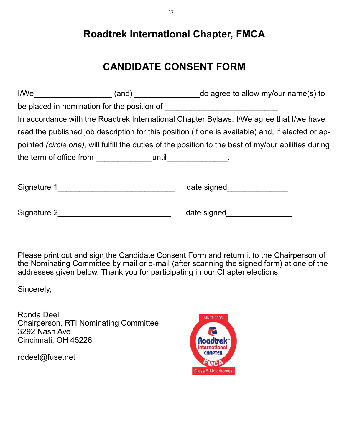## **Roadtrek International Chapter, FMCA**

## **CANDIDATE CONSENT FORM**

|                                                                                                                | I/We_________________________(and) _______________________do agree to allow my/our name(s) to                  |  |
|----------------------------------------------------------------------------------------------------------------|----------------------------------------------------------------------------------------------------------------|--|
|                                                                                                                |                                                                                                                |  |
|                                                                                                                | In accordance with the Roadtrek International Chapter Bylaws. I/We agree that I/we have                        |  |
|                                                                                                                | read the published job description for this position (if one is available) and, if elected or ap-              |  |
|                                                                                                                | pointed (circle one), will fulfill the duties of the position to the best of my/our abilities during           |  |
| the term of office from __________________until________________.                                               |                                                                                                                |  |
|                                                                                                                | date signed and the state of the state of the state of the state of the state of the state of the state of the |  |
| Signature 2 and the state of the state of the state of the state of the state of the state of the state of the | date signed and the state of the state of the state of the state of the state of the state of the state of the |  |

Please print out and sign the Candidate Consent Form and return it to the Chairperson of the Nominating Committee by mail or e-mail (after scanning the signed form) at one of the addresses given below. Thank you for participating in our Chapter elections.

Sincerely,

Ronda Deel Chairperson, RTI Nominating Committee 3292 Nash Ave Cincinnati, OH 45226

rodeel@fuse.net